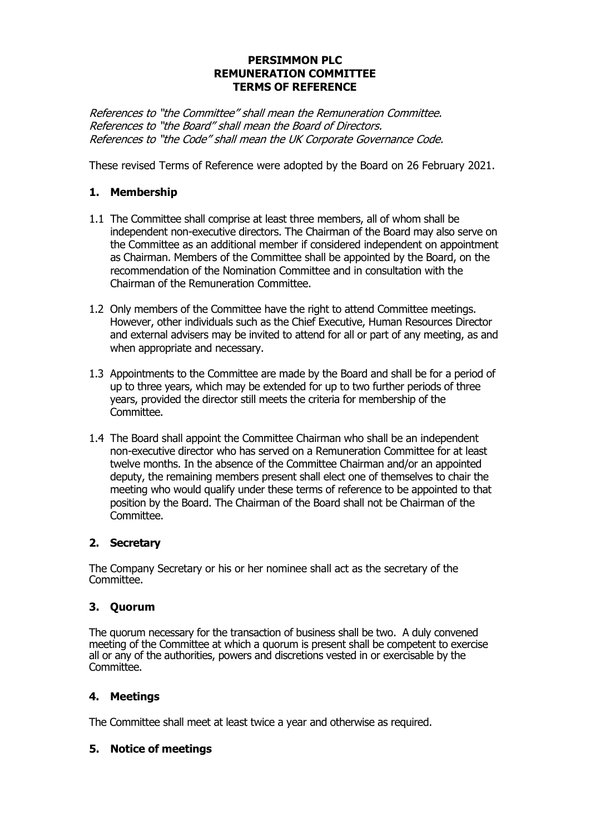### **PERSIMMON PLC REMUNERATION COMMITTEE TERMS OF REFERENCE**

References to "the Committee" shall mean the Remuneration Committee. References to "the Board" shall mean the Board of Directors. References to "the Code" shall mean the UK Corporate Governance Code.

These revised Terms of Reference were adopted by the Board on 26 February 2021.

# **1. Membership**

- 1.1 The Committee shall comprise at least three members, all of whom shall be independent non-executive directors. The Chairman of the Board may also serve on the Committee as an additional member if considered independent on appointment as Chairman. Members of the Committee shall be appointed by the Board, on the recommendation of the Nomination Committee and in consultation with the Chairman of the Remuneration Committee.
- 1.2 Only members of the Committee have the right to attend Committee meetings. However, other individuals such as the Chief Executive, Human Resources Director and external advisers may be invited to attend for all or part of any meeting, as and when appropriate and necessary.
- 1.3 Appointments to the Committee are made by the Board and shall be for a period of up to three years, which may be extended for up to two further periods of three years, provided the director still meets the criteria for membership of the Committee.
- 1.4 The Board shall appoint the Committee Chairman who shall be an independent non-executive director who has served on a Remuneration Committee for at least twelve months. In the absence of the Committee Chairman and/or an appointed deputy, the remaining members present shall elect one of themselves to chair the meeting who would qualify under these terms of reference to be appointed to that position by the Board. The Chairman of the Board shall not be Chairman of the Committee.

# **2. Secretary**

The Company Secretary or his or her nominee shall act as the secretary of the Committee.

# **3. Quorum**

The quorum necessary for the transaction of business shall be two. A duly convened meeting of the Committee at which a quorum is present shall be competent to exercise all or any of the authorities, powers and discretions vested in or exercisable by the Committee.

# **4. Meetings**

The Committee shall meet at least twice a year and otherwise as required.

#### **5. Notice of meetings**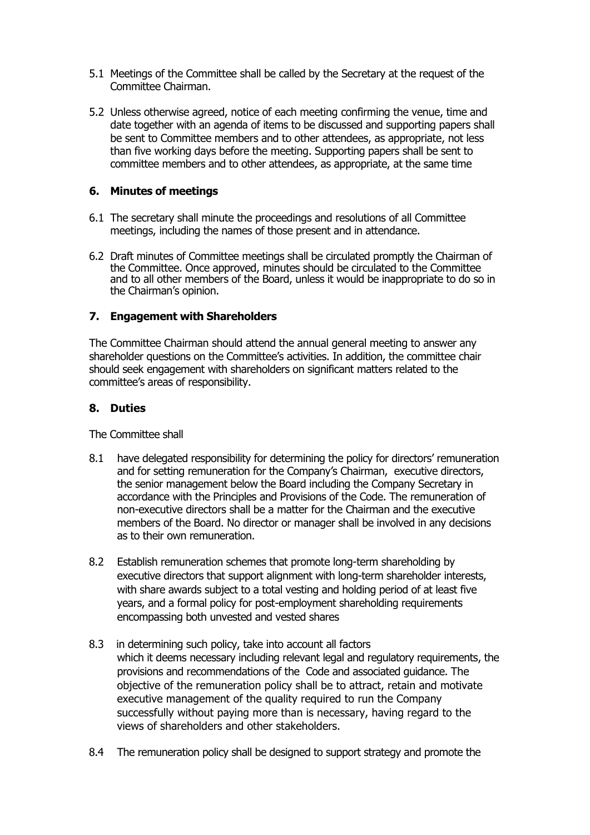- 5.1 Meetings of the Committee shall be called by the Secretary at the request of the Committee Chairman.
- 5.2 Unless otherwise agreed, notice of each meeting confirming the venue, time and date together with an agenda of items to be discussed and supporting papers shall be sent to Committee members and to other attendees, as appropriate, not less than five working days before the meeting. Supporting papers shall be sent to committee members and to other attendees, as appropriate, at the same time

### **6. Minutes of meetings**

- 6.1 The secretary shall minute the proceedings and resolutions of all Committee meetings, including the names of those present and in attendance.
- 6.2 Draft minutes of Committee meetings shall be circulated promptly the Chairman of the Committee. Once approved, minutes should be circulated to the Committee and to all other members of the Board, unless it would be inappropriate to do so in the Chairman's opinion.

### **7. Engagement with Shareholders**

The Committee Chairman should attend the annual general meeting to answer any shareholder questions on the Committee's activities. In addition, the committee chair should seek engagement with shareholders on significant matters related to the committee's areas of responsibility.

### **8. Duties**

The Committee shall

- 8.1 have delegated responsibility for determining the policy for directors' remuneration and for setting remuneration for the Company's Chairman, executive directors, the senior management below the Board including the Company Secretary in accordance with the Principles and Provisions of the Code. The remuneration of non-executive directors shall be a matter for the Chairman and the executive members of the Board. No director or manager shall be involved in any decisions as to their own remuneration.
- 8.2 Establish remuneration schemes that promote long-term shareholding by executive directors that support alignment with long-term shareholder interests, with share awards subject to a total vesting and holding period of at least five years, and a formal policy for post-employment shareholding requirements encompassing both unvested and vested shares
- 8.3 in determining such policy, take into account all factors which it deems necessary including relevant legal and regulatory requirements, the provisions and recommendations of the Code and associated guidance. The objective of the remuneration policy shall be to attract, retain and motivate executive management of the quality required to run the Company successfully without paying more than is necessary, having regard to the views of shareholders and other stakeholders.
- 8.4 The remuneration policy shall be designed to support strategy and promote the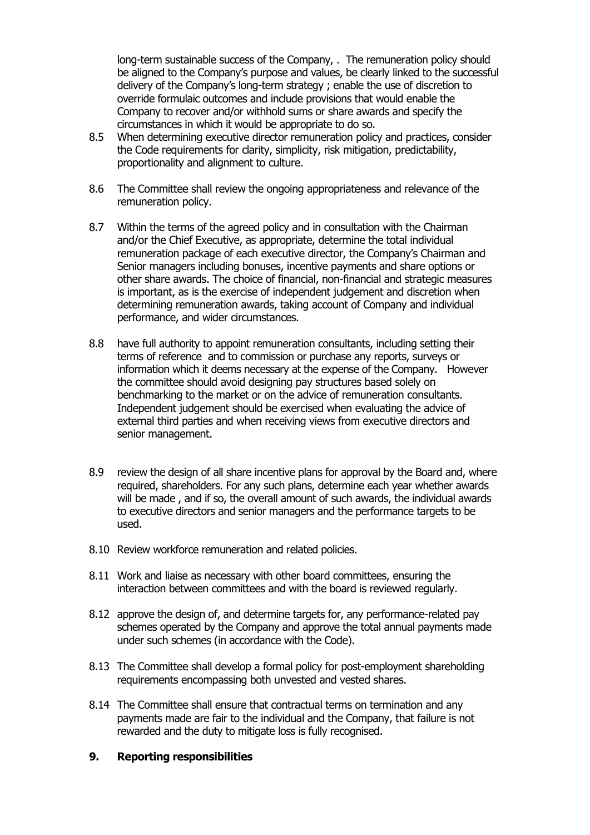long-term sustainable success of the Company, . The remuneration policy should be aligned to the Company's purpose and values, be clearly linked to the successful delivery of the Company's long-term strategy ; enable the use of discretion to override formulaic outcomes and include provisions that would enable the Company to recover and/or withhold sums or share awards and specify the circumstances in which it would be appropriate to do so.

- 8.5 When determining executive director remuneration policy and practices, consider the Code requirements for clarity, simplicity, risk mitigation, predictability, proportionality and alignment to culture.
- 8.6 The Committee shall review the ongoing appropriateness and relevance of the remuneration policy.
- 8.7 Within the terms of the agreed policy and in consultation with the Chairman and/or the Chief Executive, as appropriate, determine the total individual remuneration package of each executive director, the Company's Chairman and Senior managers including bonuses, incentive payments and share options or other share awards. The choice of financial, non-financial and strategic measures is important, as is the exercise of independent judgement and discretion when determining remuneration awards, taking account of Company and individual performance, and wider circumstances.
- 8.8 have full authority to appoint remuneration consultants, including setting their terms of reference and to commission or purchase any reports, surveys or information which it deems necessary at the expense of the Company. However the committee should avoid designing pay structures based solely on benchmarking to the market or on the advice of remuneration consultants. Independent judgement should be exercised when evaluating the advice of external third parties and when receiving views from executive directors and senior management.
- 8.9 review the design of all share incentive plans for approval by the Board and, where required, shareholders. For any such plans, determine each year whether awards will be made , and if so, the overall amount of such awards, the individual awards to executive directors and senior managers and the performance targets to be used.
- 8.10 Review workforce remuneration and related policies.
- 8.11 Work and liaise as necessary with other board committees, ensuring the interaction between committees and with the board is reviewed regularly.
- 8.12 approve the design of, and determine targets for, any performance-related pay schemes operated by the Company and approve the total annual payments made under such schemes (in accordance with the Code).
- 8.13 The Committee shall develop a formal policy for post-employment shareholding requirements encompassing both unvested and vested shares.
- 8.14 The Committee shall ensure that contractual terms on termination and any payments made are fair to the individual and the Company, that failure is not rewarded and the duty to mitigate loss is fully recognised.

#### **9. Reporting responsibilities**